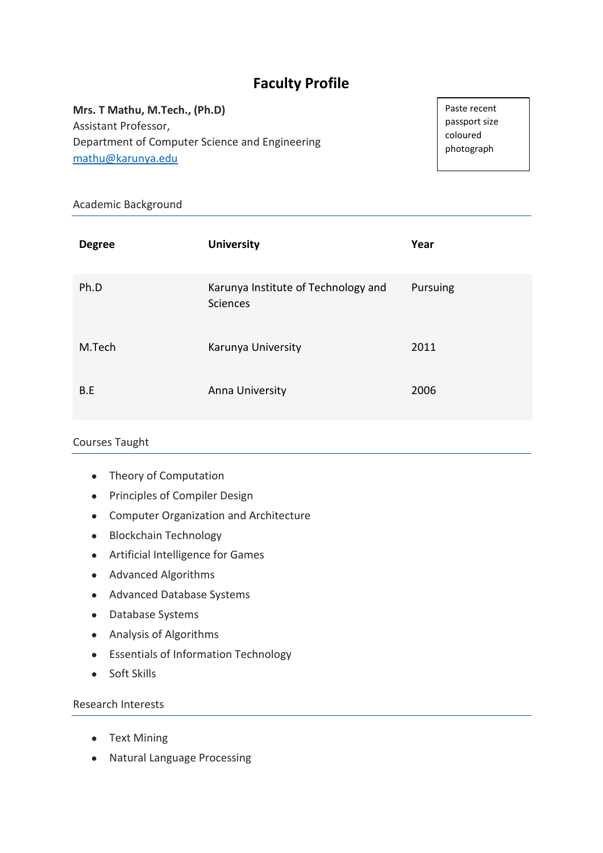# **Faculty Profile**

**Mrs. T Mathu, M.Tech., (Ph.D)** Assistant Professor, Department of Computer Science and Engineering [mathu@karunya.edu](mailto:mathu@karunya.edu)

Paste recent passport size coloured photograph

## Academic Background

| <b>Degree</b> | <b>University</b>                               | Year     |
|---------------|-------------------------------------------------|----------|
| Ph.D          | Karunya Institute of Technology and<br>Sciences | Pursuing |
| M.Tech        | Karunya University                              | 2011     |
| B.E           | Anna University                                 | 2006     |

# Courses Taught

- Theory of Computation
- Principles of Compiler Design
- Computer Organization and Architecture
- Blockchain Technology
- Artificial Intelligence for Games
- Advanced Algorithms
- Advanced Database Systems
- Database Systems
- Analysis of Algorithms
- Essentials of Information Technology
- Soft Skills

# Research Interests

- Text Mining
- Natural Language Processing